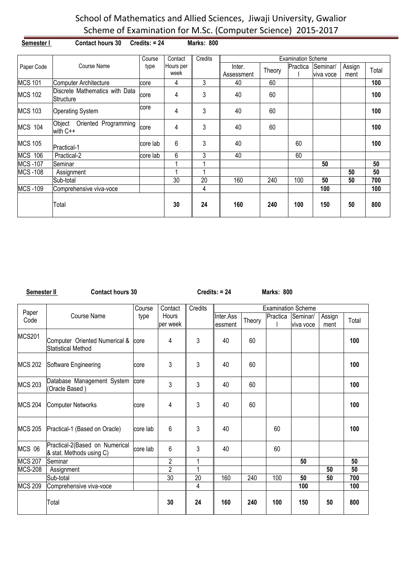| Semester I     | <b>Contact hours 30</b>                     | $Credits: = 24$ |                   | <b>Marks: 800</b> |                      |        |                           |                       |                |       |
|----------------|---------------------------------------------|-----------------|-------------------|-------------------|----------------------|--------|---------------------------|-----------------------|----------------|-------|
|                |                                             | Course          | Contact           | Credits           |                      |        | <b>Examination Scheme</b> |                       |                |       |
| Paper Code     | Course Name                                 | type            | Hours per<br>week |                   | Inter.<br>Assessment | Theory | Practica                  | Seminar/<br>viva voce | Assign<br>ment | Total |
| <b>MCS 101</b> | Computer Architecture                       | core            | 4                 | 3                 | 40                   | 60     |                           |                       |                | 100   |
| <b>MCS 102</b> | Discrete Mathematics with Data<br>Structure | core            | 4                 | 3                 | 40                   | 60     |                           |                       |                | 100   |
| <b>MCS 103</b> | <b>Operating System</b>                     | core            | 4                 | 3                 | 40                   | 60     |                           |                       |                | 100   |
| <b>MCS 104</b> | Object<br>Oriented Programming<br>with C++  | core            | 4                 | 3                 | 40                   | 60     |                           |                       |                | 100   |
| <b>MCS 105</b> | Practical-1                                 | core lab        | 6                 | 3                 | 40                   |        | 60                        |                       |                | 100   |
| <b>MCS 106</b> | Practical-2                                 | core lab        | 6                 | 3                 | 40                   |        | 60                        |                       |                |       |
| <b>MCS-107</b> | Seminar                                     |                 |                   |                   |                      |        |                           | 50                    |                | 50    |
| <b>MCS-108</b> | Assignment                                  |                 |                   |                   |                      |        |                           |                       | 50             | 50    |
|                | Sub-total                                   |                 | 30                | 20                | 160                  | 240    | 100                       | 50                    | 50             | 700   |
| <b>MCS-109</b> | Comprehensive viva-voce                     |                 |                   | 4                 |                      |        |                           | 100                   |                | 100   |
|                | Total                                       |                 | 30                | 24                | 160                  | 240    | 100                       | 150                   | 50             | 800   |

**Semester II Contact hours 30 Credits: = 24** Marks: 800

|                |                                                            | Course   | Contact                   | Credits        |                      |        |          | <b>Examination Scheme</b> |                |       |
|----------------|------------------------------------------------------------|----------|---------------------------|----------------|----------------------|--------|----------|---------------------------|----------------|-------|
| Paper<br>Code  | <b>Course Name</b>                                         | type     | <b>Hours</b><br>lper week |                | Inter.Ass<br>essment | Theory | Practica | Seminar/<br>viva voce     | Assign<br>ment | Total |
| <b>MCS201</b>  | Computer Oriented Numerical &<br><b>Statistical Method</b> | core     | 4                         | 3              | 40                   | 60     |          |                           |                | 100   |
| <b>MCS 202</b> | Software Engineering                                       | core     | 3                         | 3              | 40                   | 60     |          |                           |                | 100   |
| <b>MCS 203</b> | Database Management System<br>(Oracle Based)               | core     | 3                         | 3              | 40                   | 60     |          |                           |                | 100   |
| <b>MCS 204</b> | <b>Computer Networks</b>                                   | core     | 4                         | 3              | 40                   | 60     |          |                           |                | 100   |
| <b>MCS 205</b> | Practical-1 (Based on Oracle)                              | core lab | 6                         | 3              | 40                   |        | 60       |                           |                | 100   |
| MCS 06         | Practical-2(Based on Numerical<br>& stat. Methods using C) | core lab | 6                         | 3              | 40                   |        | 60       |                           |                |       |
| <b>MCS 207</b> | lSeminar                                                   |          | $\overline{c}$            | 1              |                      |        |          | 50                        |                | 50    |
| <b>MCS-208</b> | Assignment                                                 |          | $\overline{2}$            | $\overline{A}$ |                      |        |          |                           | 50             | 50    |
|                | Sub-total                                                  |          | 30                        | 20             | 160                  | 240    | 100      | 50                        | 50             | 700   |
| <b>MCS 209</b> | Comprehensive viva-voce                                    |          |                           | 4              |                      |        |          | 100                       |                | 100   |
|                | Total                                                      |          | 30                        | 24             | 160                  | 240    | 100      | 150                       | 50             | 800   |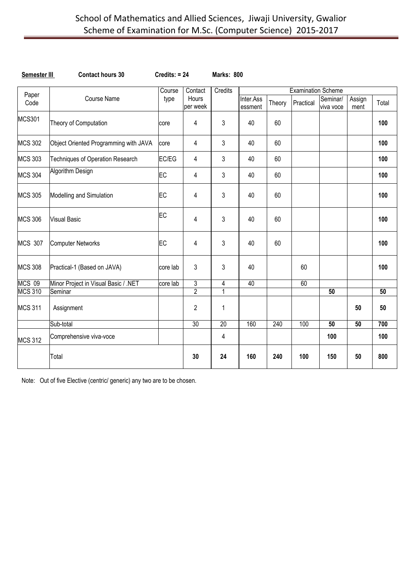| Semester III   | <b>Contact hours 30</b>               | $Credits: = 24$ |                   | Marks: 800      |                      |        |                           |                       |                 |                 |
|----------------|---------------------------------------|-----------------|-------------------|-----------------|----------------------|--------|---------------------------|-----------------------|-----------------|-----------------|
|                |                                       | Course          | Contact           | Credits         |                      |        | <b>Examination Scheme</b> |                       |                 |                 |
| Paper<br>Code  | <b>Course Name</b>                    | type            | Hours<br>per week |                 | Inter.Ass<br>essment | Theory | Practical                 | Seminar/<br>viva voce | Assign<br>ment  | Total           |
| <b>MCS301</b>  | Theory of Computation                 | core            | 4                 | 3               | 40                   | 60     |                           |                       |                 | 100             |
| <b>MCS 302</b> | Object Oriented Programming with JAVA | core            | 4                 | 3               | 40                   | 60     |                           |                       |                 | 100             |
| <b>MCS 303</b> | Techniques of Operation Research      | EC/EG           | 4                 | 3               | 40                   | 60     |                           |                       |                 | 100             |
| <b>MCS 304</b> | Algorithm Design                      | EC              | 4                 | 3               | 40                   | 60     |                           |                       |                 | 100             |
| <b>MCS 305</b> | Modelling and Simulation              | EC              | 4                 | 3               | 40                   | 60     |                           |                       |                 | 100             |
| <b>MCS 306</b> | <b>Visual Basic</b>                   | EC              | 4                 | 3               | 40                   | 60     |                           |                       |                 | 100             |
| <b>MCS 307</b> | <b>Computer Networks</b>              | EC              | 4                 | 3               | 40                   | 60     |                           |                       |                 | 100             |
| <b>MCS 308</b> | Practical-1 (Based on JAVA)           | core lab        | 3                 | 3               | 40                   |        | 60                        |                       |                 | 100             |
| <b>MCS 09</b>  | Minor Project in Visual Basic / .NET  | core lab        | 3                 | 4               | 40                   |        | 60                        |                       |                 |                 |
| <b>MCS 310</b> | Seminar                               |                 | $\overline{2}$    | 1               |                      |        |                           | $\overline{50}$       |                 | $\overline{50}$ |
| <b>MCS 311</b> | Assignment                            |                 | $\overline{c}$    | 1               |                      |        |                           |                       | 50              | 50              |
|                | Sub-total                             |                 | 30                | $\overline{20}$ | 160                  | 240    | 100                       | $\overline{50}$       | $\overline{50}$ | 700             |
| <b>MCS 312</b> | Comprehensive viva-voce               |                 |                   | 4               |                      |        |                           | 100                   |                 | 100             |
|                | Total                                 |                 | 30                | 24              | 160                  | 240    | 100                       | 150                   | 50              | 800             |

Note: Out of five Elective (centric/ generic) any two are to be chosen.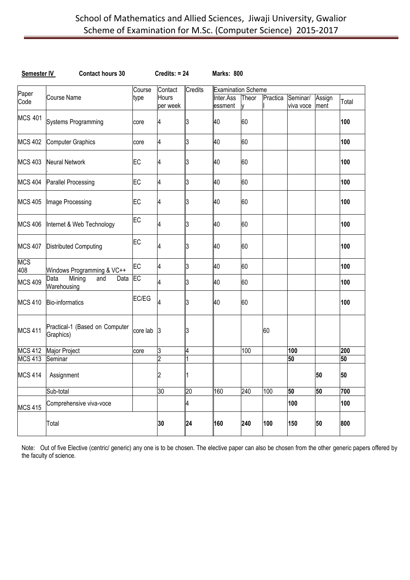| Semester IV       | <b>Contact hours 30</b>                      |            | $Credits: = 24$          |                | Marks: 800                |            |          |                       |                |       |
|-------------------|----------------------------------------------|------------|--------------------------|----------------|---------------------------|------------|----------|-----------------------|----------------|-------|
|                   |                                              | Course     | Contact                  | <b>Credits</b> | <b>Examination Scheme</b> |            |          |                       |                |       |
| Paper<br>Code     | <b>Course Name</b>                           | type       | <b>Hours</b><br>per week |                | Inter.Ass<br>essment      | Theor<br>V | Practica | Seminar/<br>viva voce | Assign<br>ment | Total |
| <b>MCS 401</b>    | <b>Systems Programming</b>                   | core       | 4                        | 3              | 40                        | 60         |          |                       |                | 100   |
| <b>MCS 402</b>    | Computer Graphics                            | core       | 4                        | 3              | 40                        | 60         |          |                       |                | 100   |
| <b>MCS 403</b>    | Neural Network                               | EC         | 4                        | IЗ             | 40                        | 60         |          |                       |                | 100   |
| <b>MCS 404</b>    | Parallel Processing                          | EC         | 4                        | 3              | 40                        | 60         |          |                       |                | 100   |
| <b>MCS 405</b>    | Image Processing                             | EC         | 4                        | IЗ             | 40                        | 60         |          |                       |                | 100   |
| <b>MCS 406</b>    | Internet & Web Technology                    | EC         | 4                        | 3              | 40                        | 60         |          |                       |                | 100   |
| <b>MCS 407</b>    | <b>Distributed Computing</b>                 | EC         | 4                        | IЗ             | 40                        | 60         |          |                       |                | 100   |
| <b>MCS</b><br>408 | Windows Programming & VC++                   | EC         | 4                        | 3              | 40                        | 60         |          |                       |                | 100   |
| <b>MCS 409</b>    | Mining<br>Data<br>Data<br>and<br>Warehousing | <b>IEC</b> | 4                        | 3              | 40                        | 60         |          |                       |                | 100   |
| <b>MCS 410</b>    | Bio-informatics                              | EC/EG      | 4                        | IЗ             | 40                        | 60         |          |                       |                | 100   |
| <b>MCS 411</b>    | Practical-1 (Based on Computer<br>Graphics)  | core lab   | $\overline{3}$           | 3              |                           |            | 60       |                       |                |       |
| <b>MCS 412</b>    | Major Project                                | core       | 3                        | 4              |                           | 100        |          | 100                   |                | 200   |
| <b>MCS 413</b>    | Seminar                                      |            | 2                        |                |                           |            |          | 50                    |                | 50    |
| <b>MCS 414</b>    | Assignment                                   |            | 2                        |                |                           |            |          |                       | 50             | 50    |
|                   | Sub-total                                    |            | 30                       | 20             | 160                       | 240        | 100      | 50                    | 50             | 700   |
| <b>MCS 415</b>    | Comprehensive viva-voce                      |            |                          | 4              |                           |            |          | 100                   |                | 100   |
|                   | Total                                        |            | 30                       | 24             | 160                       | 240        | 100      | 150                   | 50             | 800   |

Note: Out of five Elective (centric/ generic) any one is to be chosen. The elective paper can also be chosen from the other generic papers offered by the faculty of science.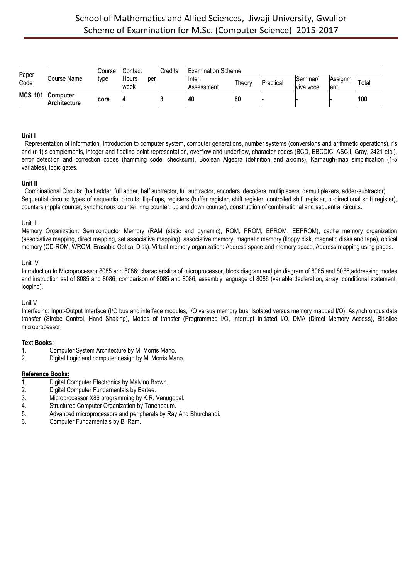| Paper          |                                 | Course | Contact       |     | Credits | <b>Examination Scheme</b> |        |           |                              |                 |       |
|----------------|---------------------------------|--------|---------------|-----|---------|---------------------------|--------|-----------|------------------------------|-----------------|-------|
| Code           | Course Name                     | type   | Hours<br>week | per |         | llnter.<br>Assessment     | Theory | Practical | Seminar/<br><b>VIVA VOCE</b> | Assignm<br>lent | Total |
| <b>MCS 101</b> | <b>Computer</b><br>Architecture | core   |               |     |         | 140                       | 60     |           |                              |                 | 100   |

### **Unit I**

Representation of Information: Introduction to computer system, computer generations, number systems (conversions and arithmetic operations), r's and (r-1)'s complements, integer and floating point representation, overflow and underflow, character codes (BCD, EBCDIC, ASCII, Gray, 2421 etc.), error detection and correction codes (hamming code, checksum), Boolean Algebra (definition and axioms), Karnaugh-map simplification (1-5 variables), logic gates.

#### **Unit II**

Combinational Circuits: (half adder, full adder, half subtractor, full subtractor, encoders, decoders, multiplexers, demultiplexers, adder-subtractor). Sequential circuits: types of sequential circuits, flip-flops, registers (buffer register, shift register, controlled shift register, bi-directional shift register), counters (ripple counter, synchronous counter, ring counter, up and down counter), construction of combinational and sequential circuits.

#### Unit III

Memory Organization: Semiconductor Memory (RAM (static and dynamic), ROM, PROM, EPROM, EEPROM), cache memory organization (associative mapping, direct mapping, set associative mapping), associative memory, magnetic memory (floppy disk, magnetic disks and tape), optical memory (CD-ROM, WROM, Erasable Optical Disk). Virtual memory organization: Address space and memory space, Address mapping using pages.

### Unit IV

Introduction to Microprocessor 8085 and 8086: characteristics of microprocessor, block diagram and pin diagram of 8085 and 8086,addressing modes and instruction set of 8085 and 8086, comparison of 8085 and 8086, assembly language of 8086 (variable declaration, array, conditional statement, looping).

# Unit V

Interfacing: Input-Output Interface (I/O bus and interface modules, I/O versus memory bus, Isolated versus memory mapped I/O), Asynchronous data transfer (Strobe Control, Hand Shaking), Modes of transfer (Programmed I/O, Interrupt Initiated I/O, DMA (Direct Memory Access), Bit-slice microprocessor.

# **Text Books:**

- 1. Computer System Architecture by M. Morris Mano.
- 2. Digital Logic and computer design by M. Morris Mano.

# **Reference Books:**

- 1. Digital Computer Electronics by Malvino Brown.<br>2. Digital Computer Fundamentals by Bartee.
- 2. Digital Computer Fundamentals by Bartee.<br>3. Microprocessor X86 programming by K.R.
- Microprocessor X86 programming by K.R. Venugopal.
- 4. Structured Computer Organization by Tanenbaum.
- 5. Advanced microprocessors and peripherals by Ray And Bhurchandi.
- 6. Computer Fundamentals by B. Ram.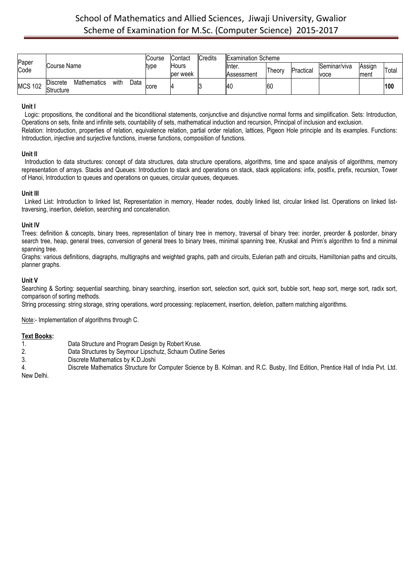| Paper          |                                                    |              | Course | Contact        | <b>Credits</b> | <b>Examination Scheme</b> |        |           |              |        |       |
|----------------|----------------------------------------------------|--------------|--------|----------------|----------------|---------------------------|--------|-----------|--------------|--------|-------|
| Code           | Course Name                                        |              | type   | <b>I</b> Hours |                | llnter.                   | Theory | Practical | Seminar/viva | Assign | Total |
|                |                                                    |              |        | per week       |                | Assessment                |        |           | voce         | Iment  |       |
| <b>MCS 102</b> | <b>Discrete</b><br><b>Mathematics</b><br>Structure | with<br>Data | core   |                |                | IAC                       | 60     |           |              |        | 100   |

### **Unit I**

Logic: propositions, the conditional and the biconditional statements, conjunctive and disjunctive normal forms and simplification. Sets: Introduction, Operations on sets, finite and infinite sets, countability of sets, mathematical induction and recursion, Principal of inclusion and exclusion. Relation: Introduction, properties of relation, equivalence relation, partial order relation, lattices, Pigeon Hole principle and its examples. Functions: Introduction, injective and surjective functions, inverse functions, composition of functions.

#### **Unit II**

Introduction to data structures: concept of data structures, data structure operations, algorithms, time and space analysis of algorithms, memory representation of arrays. Stacks and Queues: Introduction to stack and operations on stack, stack applications: infix, postfix, prefix, recursion, Tower of Hanoi, Introduction to queues and operations on queues, circular queues, dequeues.

### **Unit III**

Linked List: Introduction to linked list, Representation in memory, Header nodes, doubly linked list, circular linked list. Operations on linked listtraversing, insertion, deletion, searching and concatenation.

### **Unit IV**

Trees: definition & concepts, binary trees, representation of binary tree in memory, traversal of binary tree: inorder, preorder & postorder, binary search tree, heap, general trees, conversion of general trees to binary trees, minimal spanning tree, Kruskal and Prim's algorithm to find a minimal spanning tree.

Graphs: various definitions, diagraphs, multigraphs and weighted graphs, path and circuits, Eulerian path and circuits, Hamiltonian paths and circuits, planner graphs.

### **Unit V**

Searching & Sorting: sequential searching, binary searching, insertion sort, selection sort, quick sort, bubble sort, heap sort, merge sort, radix sort, comparison of sorting methods.

String processing: string storage, string operations, word processing: replacement, insertion, deletion, pattern matching algorithms.

Note:- Implementation of algorithms through C.

# **Text Books:**

- 1. Data Structure and Program Design by Robert Kruse.
- 2. Data Structures by Seymour Lipschutz, Schaum Outline Series
- 3. Discrete Mathematics by K.D.Joshi
- 4. Discrete Mathematics Structure for Computer Science by B. Kolman. and R.C. Busby, IInd Edition, Prentice Hall of India Pvt. Ltd.

New Delhi.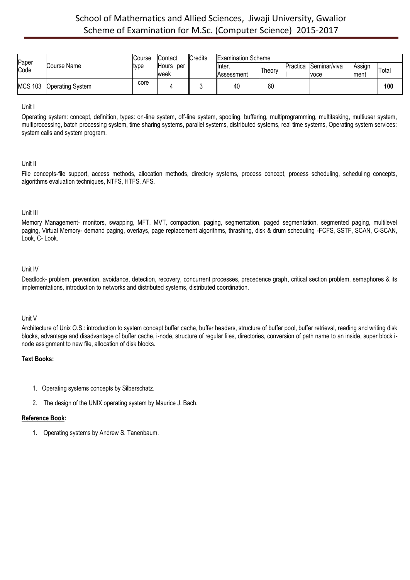| Paper          |                         | Course | <b>IContact</b>             | Credits | <b>Examination Scheme</b> |        |          |                             |                 |       |
|----------------|-------------------------|--------|-----------------------------|---------|---------------------------|--------|----------|-----------------------------|-----------------|-------|
| Code           | lCourse Name            | ltvpe  | <b>Hours</b><br>per<br>week |         | llnter.<br>Assessment     | Theory | Practica | <b>Seminar/viva</b><br>voce | Assign<br>Iment | Total |
| <b>MCS 103</b> | <b>Operating System</b> | core   |                             |         | 40                        | 60     |          |                             |                 | 100   |

### Unit I

Operating system: concept, definition, types: on-line system, off-line system, spooling, buffering, multiprogramming, multitasking, multiuser system, multiprocessing, batch processing system, time sharing systems, parallel systems, distributed systems, real time systems, Operating system services: system calls and system program.

# Unit II

File concepts-file support, access methods, allocation methods, directory systems, process concept, process scheduling, scheduling concepts, algorithms evaluation techniques, NTFS, HTFS, AFS.

### Unit III

Memory Management- monitors, swapping, MFT, MVT, compaction, paging, segmentation, paged segmentation, segmented paging, multilevel paging, Virtual Memory- demand paging, overlays, page replacement algorithms, thrashing, disk & drum scheduling -FCFS, SSTF, SCAN, C-SCAN, Look, C- Look.

# Unit IV

Deadlock- problem, prevention, avoidance, detection, recovery, concurrent processes, precedence graph, critical section problem, semaphores & its implementations, introduction to networks and distributed systems, distributed coordination.

# Unit V

Architecture of Unix O.S.: introduction to system concept buffer cache, buffer headers, structure of buffer pool, buffer retrieval, reading and writing disk blocks, advantage and disadvantage of buffer cache, i-node, structure of regular files, directories, conversion of path name to an inside, super block inode assignment to new file, allocation of disk blocks.

# **Text Books:**

- 1. Operating systems concepts by Silberschatz.
- 2. The design of the UNIX operating system by Maurice J. Bach.

# **Reference Book:**

1. Operating systems by Andrew S. Tanenbaum.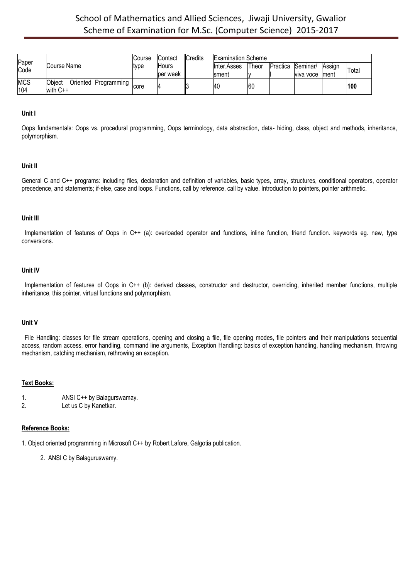| Paper             |                                                       | Course | Contact      | Credits | <b>Examination Scheme</b> |       |                   |                 |               |       |
|-------------------|-------------------------------------------------------|--------|--------------|---------|---------------------------|-------|-------------------|-----------------|---------------|-------|
| Code              | Course Name                                           | type   | <b>Hours</b> |         | Inter.Asses               | Theor | Practica Seminar/ |                 | <b>Assign</b> | Total |
|                   |                                                       |        | per week     |         | Isment                    |       |                   | viva voce Iment |               |       |
| <b>MCS</b><br>104 | <b>Object</b><br>Oriented Programming I<br>with $C++$ | core   |              |         | 4C                        | 60    |                   |                 |               | 100   |

### **Unit I**

Oops fundamentals: Oops vs. procedural programming, Oops terminology, data abstraction, data- hiding, class, object and methods, inheritance, polymorphism.

### **Unit II**

General C and C++ programs: including files, declaration and definition of variables, basic types, array, structures, conditional operators, operator precedence, and statements; if-else, case and loops. Functions, call by reference, call by value. Introduction to pointers, pointer arithmetic.

#### **Unit III**

Implementation of features of Oops in C++ (a): overloaded operator and functions, inline function, friend function. keywords eg. new, type conversions.

#### **Unit IV**

Implementation of features of Oops in C++ (b): derived classes, constructor and destructor, overriding, inherited member functions, multiple inheritance, this pointer. virtual functions and polymorphism.

#### **Unit V**

File Handling: classes for file stream operations, opening and closing a file, file opening modes, file pointers and their manipulations sequential access, random access, error handling, command line arguments, Exception Handling: basics of exception handling, handling mechanism, throwing mechanism, catching mechanism, rethrowing an exception.

#### **Text Books:**

- 1. ANSI C++ by Balagurswamay.
- 2. Let us C by Kanetkar.

# **Reference Books:**

1. Object oriented programming in Microsoft C++ by Robert Lafore, Galgotia publication.

2. ANSI C by Balaguruswamy.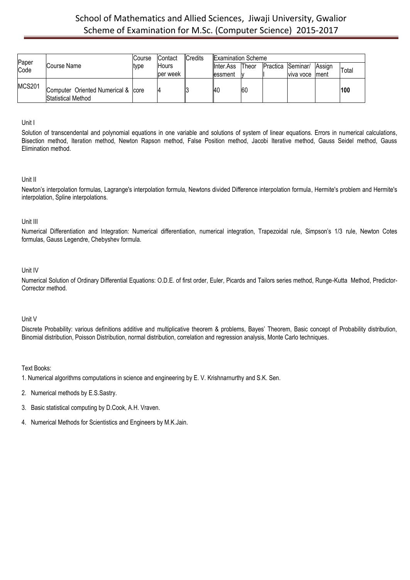|               |                                                          | Course | Contact  | <b>Credits</b> | <b>Examination Scheme</b> |              |                   |               |       |
|---------------|----------------------------------------------------------|--------|----------|----------------|---------------------------|--------------|-------------------|---------------|-------|
| Paper<br>Code | Course Name                                              | type   | Hours    |                | <b>I</b> Inter.Ass        | <b>Theor</b> | Practica Seminar/ | <b>Assign</b> | Total |
|               |                                                          |        | per week |                | essment                   |              | viva voce         | <b>Iment</b>  |       |
| <b>MCS201</b> | Computer Oriented Numerical & core<br>Statistical Method |        |          |                | I40                       | <b>60</b>    |                   |               | 100   |

# Unit I

Solution of transcendental and polynomial equations in one variable and solutions of system of linear equations. Errors in numerical calculations, Bisection method, Iteration method, Newton Rapson method, False Position method, Jacobi Iterative method, Gauss Seidel method, Gauss Elimination method.

### Unit II

Newton's interpolation formulas, Lagrange's interpolation formula, Newtons divided Difference interpolation formula, Hermite's problem and Hermite's interpolation, Spline interpolations.

# Unit III

Numerical Differentiation and Integration: Numerical differentiation, numerical integration, Trapezoidal rule, Simpson's 1/3 rule, Newton Cotes formulas, Gauss Legendre, Chebyshev formula.

# Unit IV

Numerical Solution of Ordinary Differential Equations: O.D.E. of first order, Euler, Picards and Tailors series method, Runge-Kutta Method, Predictor-Corrector method.

# Unit V

Discrete Probability: various definitions additive and multiplicative theorem & problems, Bayes' Theorem, Basic concept of Probability distribution, Binomial distribution, Poisson Distribution, normal distribution, correlation and regression analysis, Monte Carlo techniques.

- 1. Numerical algorithms computations in science and engineering by E. V. Krishnarnurthy and S.K. Sen.
- 2. Numerical methods by E.S.Sastry.
- 3. Basic statistical computing by D.Cook, A.H. Vraven.
- 4. Numerical Methods for Scientistics and Engineers by M.K.Jain.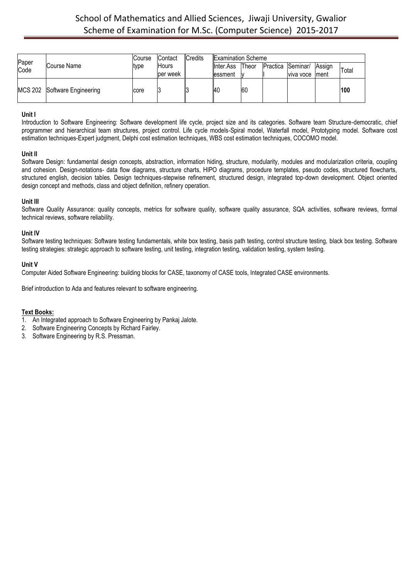| Paper |                              | Course | <b>Contact</b> | Credits | <b>Examination Scheme</b> |              |                   |                 |        |       |
|-------|------------------------------|--------|----------------|---------|---------------------------|--------------|-------------------|-----------------|--------|-------|
| Code  | Course Name                  | type   | <b>Hours</b>   |         | <b>I</b> Inter.Ass        | <b>Theor</b> | Practica Seminar/ |                 | Assign | Total |
|       |                              |        | ber week       |         | lessment                  |              |                   | viva voce Iment |        |       |
|       | MCS 202 Software Engineering | core   | J              |         | 40                        | <b>60</b>    |                   |                 |        | 100   |

# **Unit I**

Introduction to Software Engineering: Software development life cycle, project size and its categories. Software team Structure-democratic, chief programmer and hierarchical team structures, project control. Life cycle models-Spiral model, Waterfall model, Prototyping model. Software cost estimation techniques-Expert judgment, Delphi cost estimation techniques, WBS cost estimation techniques, COCOMO model.

### **Unit II**

Software Design: fundamental design concepts, abstraction, information hiding, structure, modularity, modules and modularization criteria, coupling and cohesion. Design-notations- data flow diagrams, structure charts, HIPO diagrams, procedure templates, pseudo codes, structured flowcharts, structured english, decision tables. Design techniques-stepwise refinement, structured design, integrated top-down development. Object oriented design concept and methods, class and object definition, refinery operation.

### **Unit III**

Software Quality Assurance: quality concepts, metrics for software quality, software quality assurance, SQA activities, software reviews, formal technical reviews, software reliability.

### **Unit IV**

Software testing techniques: Software testing fundamentals, white box testing, basis path testing, control structure testing, black box testing. Software testing strategies: strategic approach to software testing, unit testing, integration testing, validation testing, system testing.

### **Unit V**

Computer Aided Software Engineering: building blocks for CASE, taxonomy of CASE tools, Integrated CASE environments.

Brief introduction to Ada and features relevant to software engineering.

- 1. An Integrated approach to Software Engineering by Pankaj Jalote.
- 2. Software Engineering Concepts by Richard Fairley.
- 3. Software Engineering by R.S. Pressman.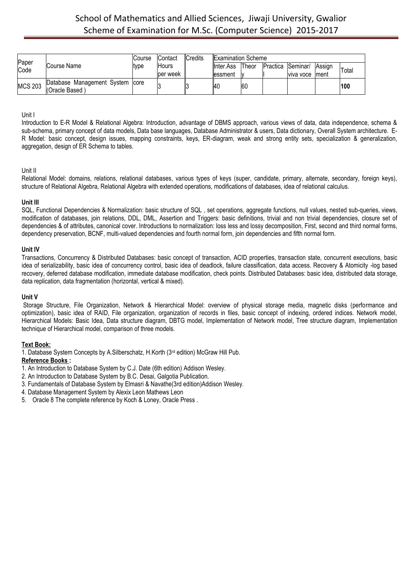|                |                                                   | Course | <b>Contact</b> | Credits | <b>Examination Scheme</b> |           |                   |                 |               |       |
|----------------|---------------------------------------------------|--------|----------------|---------|---------------------------|-----------|-------------------|-----------------|---------------|-------|
| Paper<br>Code  | Course Name                                       | type   | <b>Hours</b>   |         | linter.Ass                | Theor     | Practica Seminar/ |                 | <b>Assign</b> | Total |
|                |                                                   |        | ber week       |         | lessment                  |           |                   | viva voce Iment |               |       |
| <b>MCS 203</b> | Database Management System core<br>(Oracle Based) |        |                |         | -14u                      | <b>60</b> |                   |                 |               | 1100  |

### Unit I

Introduction to E-R Model & Relational Algebra: Introduction, advantage of DBMS approach, various views of data, data independence, schema & sub-schema, primary concept of data models, Data base languages, Database Administrator & users, Data dictionary, Overall System architecture. E-R Model: basic concept, design issues, mapping constraints, keys, ER-diagram, weak and strong entity sets, specialization & generalization, aggregation, design of ER Schema to tables.

# Unit II

Relational Model: domains, relations, relational databases, various types of keys (super, candidate, primary, alternate, secondary, foreign keys), structure of Relational Algebra, Relational Algebra with extended operations, modifications of databases, idea of relational calculus.

### **Unit III**

SQL, Functional Dependencies & Normalization: basic structure of SQL , set operations, aggregate functions, null values, nested sub-queries, views, modification of databases, join relations, DDL, DML, Assertion and Triggers: basic definitions, trivial and non trivial dependencies, closure set of dependencies & of attributes, canonical cover. Introductions to normalization: loss less and lossy decomposition, First, second and third normal forms, dependency preservation, BCNF, multi-valued dependencies and fourth normal form, join dependencies and fifth normal form.

### **Unit IV**

Transactions, Concurrency & Distributed Databases: basic concept of transaction, ACID properties, transaction state, concurrent executions, basic idea of serializability, basic idea of concurrency control, basic idea of deadlock, failure classification, data access. Recovery & Atomicity -log based recovery, deferred database modification, immediate database modification, check points. Distributed Databases: basic idea, distributed data storage, data replication, data fragmentation (horizontal, vertical & mixed).

# **Unit V**

Storage Structure, File Organization, Network & Hierarchical Model: overview of physical storage media, magnetic disks (performance and optimization), basic idea of RAID, File organization, organization of records in files, basic concept of indexing, ordered indices. Network model, Hierarchical Models: Basic Idea, Data structure diagram, DBTG model, Implementation of Network model, Tree structure diagram, Implementation technique of Hierarchical model, comparison of three models.

# **Text Book:**

1. Database System Concepts by A.Silberschatz, H.Korth (3rd edition) McGraw Hill Pub.

# **Reference Books :**

- 1. An Introduction to Database System by C.J. Date (6th edition) Addison Wesley.
- 2. An Introduction to Database System by B.C. Desai, Galgotia Publication.
- 3. Fundamentals of Database System by Elmasri & Navathe(3rd edition)Addison Wesley.
- 4. Database Management System by Alexix Leon Mathews Leon
- 5. Oracle 8 The complete reference by Koch & Loney, Oracle Press .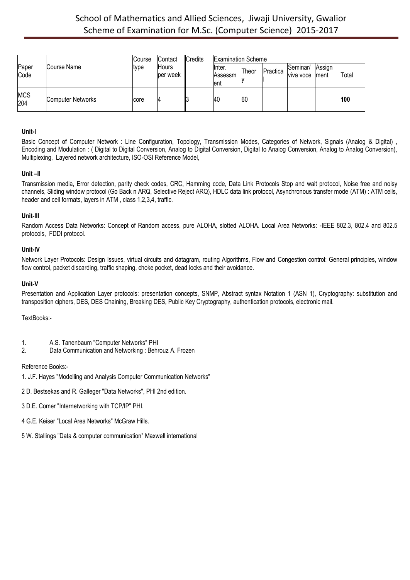|                   |                   | Course | Contact           | <b>Credits</b> | <b>Examination Scheme</b>  |       |          |                       |                 |       |
|-------------------|-------------------|--------|-------------------|----------------|----------------------------|-------|----------|-----------------------|-----------------|-------|
| Paper<br>Code     | Course Name       | type   | Hours<br>ber week |                | linter.<br>Assessm<br>lent | Theor | Practica | Seminar/<br>viva voce | Assign<br>Iment | Total |
| <b>MCS</b><br>204 | Computer Networks | core   | 14                |                | 140                        | 60    |          |                       |                 | 100   |

# **Unit-I**

Basic Concept of Computer Network : Line Configuration, Topology, Transmission Modes, Categories of Network, Signals (Analog & Digital), Encoding and Modulation : ( Digital to Digital Conversion, Analog to Digital Conversion, Digital to Analog Conversion, Analog to Analog Conversion), Multiplexing, Layered network architecture, ISO-OSI Reference Model,

# **Unit –II**

Transmission media, Error detection, parity check codes, CRC, Hamming code, Data Link Protocols Stop and wait protocol, Noise free and noisy channels, Sliding window protocol (Go Back n ARQ, Selective Reject ARQ), HDLC data link protocol, Asynchronous transfer mode (ATM) : ATM cells, header and cell formats, layers in ATM , class 1,2,3,4, traffic.

# **Unit-III**

Random Access Data Networks: Concept of Random access, pure ALOHA, slotted ALOHA. Local Area Networks: -IEEE 802.3, 802.4 and 802.5 protocols, FDDI protocol.

# **Unit-IV**

Network Layer Protocols: Design Issues, virtual circuits and datagram, routing Algorithms, Flow and Congestion control: General principles, window flow control, packet discarding, traffic shaping, choke pocket, dead locks and their avoidance.

### **Unit-V**

Presentation and Application Layer protocols: presentation concepts, SNMP, Abstract syntax Notation 1 (ASN 1), Cryptography: substitution and transposition ciphers, DES, DES Chaining, Breaking DES, Public Key Cryptography, authentication protocols, electronic mail.

TextBooks:-

- 1. A.S. Tanenbaum "Computer Networks" PHI
- 2. Data Communication and Networking : Behrouz A. Frozen

### Reference Books:-

- 1. J.F. Hayes "Modelling and Analysis Computer Communication Networks"
- 2 D. Bestsekas and R. Galleger "Data Networks", PHI 2nd edition.
- 3 D.E. Comer "Internetworking with TCP/IP" PHI.
- 4 G.E. Keiser "Local Area Networks" McGraw Hills.
- 5 W. Stallings "Data & computer communication" Maxwell international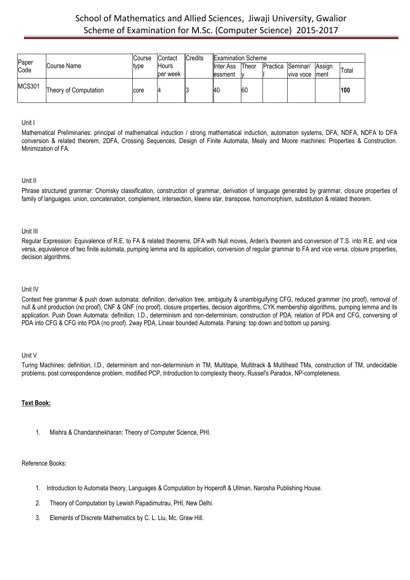|               |                       | <b>Course</b> | Contact  | Credits | <b>Examination Scheme</b> |              |                   |               |       |
|---------------|-----------------------|---------------|----------|---------|---------------------------|--------------|-------------------|---------------|-------|
| Paper<br>Code | Course Name           | type          | Hours    |         | <b>I</b> Inter.Ass        | <b>Theor</b> | Practica Seminar/ | <b>Assign</b> | Total |
|               |                       |               | per week |         | essment                   |              | viva voce         | Iment         |       |
| <b>MCS301</b> | Theory of Computation | core          | 14       |         | I40                       | <b>60</b>    |                   |               | 100   |

### Unit I

Mathematical Preliminaries: principal of mathematical induction / strong mathematical induction, automation systems, DFA, NDFA, NDFA to DFA conversion & related theorem, 2DFA, Crossing Sequences, Design of Finite Automata, Mealy and Moore machines: Properties & Construction. Minimization of FA.

### Unit II

Phrase structured grammar: Chomsky classification, construction of grammar, derivation of language generated by grammar, closure properties of family of languages: union, concatenation, complement, intersection, kleene star, transpose, homomorphism, substitution & related theorem.

# Unit III

Regular Expression: Equivalence of R.E. to FA & related theorems, DFA with Null moves, Arden's theorem and conversion of T.S. into R.E. and vice versa, equivalence of two finite automata, pumping lemma and its application, conversion of regular grammar to FA and vice versa, closure properties, decision algorithms.

#### Unit IV

Context free grammar & push down automata: definition, derivation tree, ambiguity & unambiguifying CFG, reduced grammer (no proof), removal of null & unit production (no proof), CNF & GNF (no proof), closure properties, decision algorithms, CYK membership algorithms, pumping lemma and its application. Push Down Automata: definition, I.D., determinism and non-determinism, construction of PDA, relation of PDA and CFG, conversing of PDA into CFG & CFG into PDA (no proof). 2way PDA, Linear bounded Automata. Parsing: top down and bottom up parsing.

#### Unit V

Turing Machines: definition, I.D., determinism and non-determinism in TM, Multitape, Multitrack & Multihead TMs, construction of TM, undecidable problems, post correspondence problem, modified PCP, Introduction to complexity theory, Russel's Paradox, NP-completeness.

# **Text Book:**

1. Mishra & Chandarshekharan: Theory of Computer Science, PHI.

# Reference Books:

- 1. Introduction to Automata theory, Languages & Computation by Hoperoft & Ullman, Narosha Publishing House.
- 2. Theory of Computation by Lewish Papadimutrau, PHI, New Delhi.
- 3. Elements of Discrete Mathematics by C. L. Liu, Mc. Graw Hill.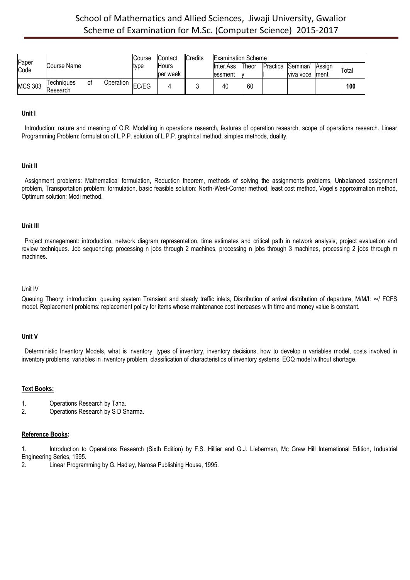| Paper          |                        |    |           | Course | <b>Contact</b> | Credits | <b>Examination Scheme</b> |       |                   |           |        |       |
|----------------|------------------------|----|-----------|--------|----------------|---------|---------------------------|-------|-------------------|-----------|--------|-------|
| Code           | Course Name            |    |           | type   | Hours          |         | <b>II</b> nter.Ass        | Theor | Practica Seminar/ |           | Assian | Total |
|                |                        |    |           |        | per week       |         | lessment                  |       |                   | viva voce | Iment  |       |
| <b>MCS 303</b> | Techniaues<br>Research | 0t | Operation | EC/EG  |                |         | 40                        | 60    |                   |           |        | 100   |

#### **Unit I**

Introduction: nature and meaning of O.R. Modelling in operations research, features of operation research, scope of operations research. Linear Programming Problem: formulation of L.P.P. solution of L.P.P. graphical method, simplex methods, duality.

#### **Unit II**

Assignment problems: Mathematical formulation, Reduction theorem, methods of solving the assignments problems, Unbalanced assignment problem, Transportation problem: formulation, basic feasible solution: North-West-Corner method, least cost method, Vogel's approximation method, Optimum solution: Modi method.

#### **Unit III**

Project management: introduction, network diagram representation, time estimates and critical path in network analysis, project evaluation and review techniques. Job sequencing: processing n jobs through 2 machines, processing n jobs through 3 machines, processing 2 jobs through m machines.

#### Unit IV

Queuing Theory: introduction, queuing system Transient and steady traffic inlets, Distribution of arrival distribution of departure, M/M/I: ∞/ FCFS model. Replacement problems: replacement policy for items whose maintenance cost increases with time and money value is constant.

#### **Unit V**

Deterministic Inventory Models, what is inventory, types of inventory, inventory decisions, how to develop n variables model, costs involved in inventory problems, variables in inventory problem, classification of characteristics of inventory systems, EOQ model without shortage.

#### **Text Books:**

- 1. Operations Research by Taha.<br>2. Operations Research by SDS
- 2. Operations Research by S D Sharma.

#### **Reference Books:**

1. Introduction to Operations Research (Sixth Edition) by F.S. Hillier and G.J. Lieberman, Mc Graw Hill International Edition, Industrial Engineering Series, 1995.

2. Linear Programming by G. Hadley, Narosa Publishing House, 1995.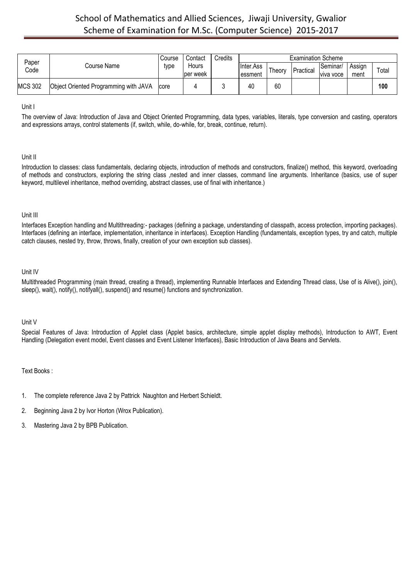| Paper          |                                       | Course | Contact           | Credits |                               |        | <b>Examination Scheme</b> |                         |                |       |
|----------------|---------------------------------------|--------|-------------------|---------|-------------------------------|--------|---------------------------|-------------------------|----------------|-------|
| Code           | Course Name                           | type   | Hours<br>per week |         | <b>Ilnter.Ass</b><br>lessment | ⊺heorv | Practical                 | lSeminar/<br>Iviva voce | Assign<br>ment | Totai |
| <b>MCS 302</b> | Object Oriented Programming with JAVA | core   |                   |         | 40                            | 60     |                           |                         |                | 100   |

Unit I

The overview of Java: Introduction of Java and Object Oriented Programming, data types, variables, literals, type conversion and casting, operators and expressions arrays, control statements (if, switch, while, do-while, for, break, continue, return).

# Unit II

Introduction to classes: class fundamentals, declaring objects, introduction of methods and constructors, finalize() method, this keyword, overloading of methods and constructors, exploring the string class ,nested and inner classes, command line arguments. Inheritance (basics, use of super keyword, multilevel inheritance, method overriding, abstract classes, use of final with inheritance.)

# Unit III

Interfaces Exception handling and Multithreading:- packages (defining a package, understanding of classpath, access protection, importing packages). Interfaces (defining an interface, implementation, inheritance in interfaces). Exception Handling (fundamentals, exception types, try and catch, multiple catch clauses, nested try, throw, throws, finally, creation of your own exception sub classes).

# Unit IV

Multithreaded Programming (main thread, creating a thread), implementing Runnable Interfaces and Extending Thread class, Use of is Alive(), join(), sleep(), wait(), notify(), notifyall(), suspend() and resume() functions and synchronization.

# Unit V

Special Features of Java: Introduction of Applet class (Applet basics, architecture, simple applet display methods), Introduction to AWT, Event Handling (Delegation event model, Event classes and Event Listener Interfaces), Basic Introduction of Java Beans and Servlets.

- 1. The complete reference Java 2 by Pattrick Naughton and Herbert Schieldt.
- 2. Beginning Java 2 by Ivor Horton (Wrox Publication).
- 3. Mastering Java 2 by BPB Publication.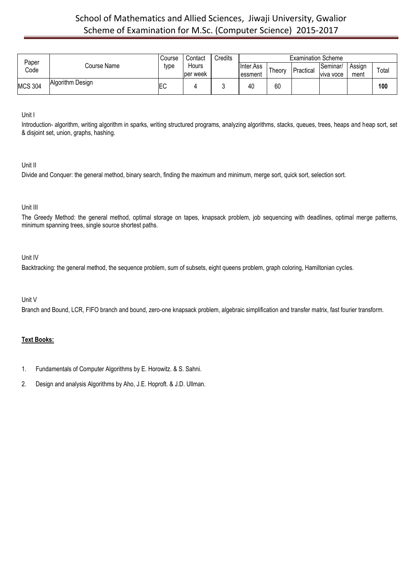| Paper          |                  | Course    | Contact            | Credits |                        |        | <b>Examination Scheme</b> |                       |                |       |
|----------------|------------------|-----------|--------------------|---------|------------------------|--------|---------------------------|-----------------------|----------------|-------|
| Code           | Course Name      | type      | Hours<br>lper week |         | Ilnter.Ass<br>Tessment | Theory | Practical                 | Seminar/<br>viva voce | Assign<br>ment | Total |
| <b>MCS 304</b> | Algorithm Design | <b>EC</b> |                    |         | 40                     | 60     |                           |                       |                | 100   |

Unit I

Introduction- algorithm, writing algorithm in sparks, writing structured programs, analyzing algorithms, stacks, queues, trees, heaps and heap sort, set & disjoint set, union, graphs, hashing.

Unit II

Divide and Conquer: the general method, binary search, finding the maximum and minimum, merge sort, quick sort, selection sort.

# Unit III

The Greedy Method: the general method, optimal storage on tapes, knapsack problem, job sequencing with deadlines, optimal merge patterns, minimum spanning trees, single source shortest paths.

### Unit IV

Backtracking: the general method, the sequence problem, sum of subsets, eight queens problem, graph coloring, Hamiltonian cycles.

# Unit V

Branch and Bound, LCR, FIFO branch and bound, zero-one knapsack problem, algebraic simplification and transfer matrix, fast fourier transform.

- 1. Fundamentals of Computer Algorithms by E. Horowitz. & S. Sahni.
- 2. Design and analysis Algorithms by Aho, J.E. Hoproft. & J.D. Ullman.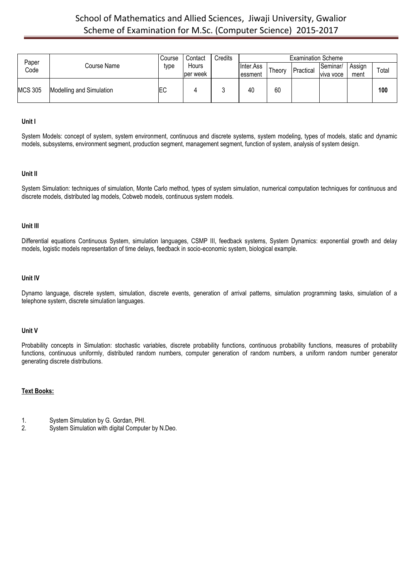| Paper          |                          | Course     | Contact   | Credits |            |        | <b>Examination Scheme</b> |           |        |       |
|----------------|--------------------------|------------|-----------|---------|------------|--------|---------------------------|-----------|--------|-------|
| Code           | Course Name              | type       | Hours     |         | linter.Ass | Theory | Practical                 | Seminar/  | Assign | Total |
|                |                          |            | lper week |         | llessment  |        |                           | viva voce | ment   |       |
| <b>MCS 305</b> | Modelling and Simulation | <b>IEC</b> |           |         | 40         | 60     |                           |           |        | 100   |

#### **Unit I**

System Models: concept of system, system environment, continuous and discrete systems, system modeling, types of models, static and dynamic models, subsystems, environment segment, production segment, management segment, function of system, analysis of system design.

#### **Unit II**

System Simulation: techniques of simulation, Monte Carlo method, types of system simulation, numerical computation techniques for continuous and discrete models, distributed lag models, Cobweb models, continuous system models.

#### **Unit III**

Differential equations Continuous System, simulation languages, CSMP III, feedback systems, System Dynamics: exponential growth and delay models, logistic models representation of time delays, feedback in socio-economic system, biological example.

#### **Unit IV**

Dynamo language, discrete system, simulation, discrete events, generation of arrival patterns, simulation programming tasks, simulation of a telephone system, discrete simulation languages.

#### **Unit V**

Probability concepts in Simulation: stochastic variables, discrete probability functions, continuous probability functions, measures of probability functions, continuous uniformly, distributed random numbers, computer generation of random numbers, a uniform random number generator generating discrete distributions.

- 1. System Simulation by G. Gordan, PHI.
- System Simulation with digital Computer by N.Deo.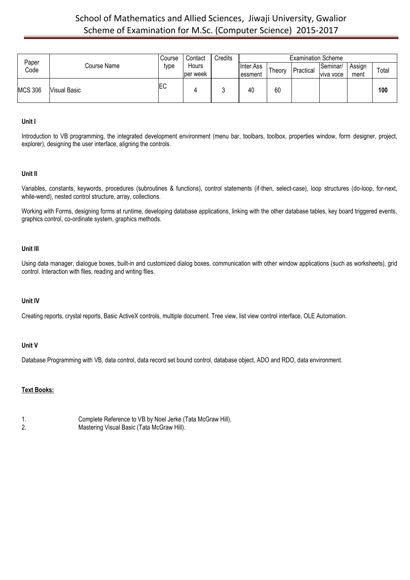|                |                     | Course    | Contact  | Credits |                    |        | <b>Examination Scheme</b> |           |        |       |
|----------------|---------------------|-----------|----------|---------|--------------------|--------|---------------------------|-----------|--------|-------|
| Paper<br>Code  | Course Name         | type      | Hours    |         | <b>Il</b> nter.Ass | Theory | Practical                 | lSeminar/ | Assign | Total |
|                |                     |           | per week |         | lessment           |        |                           | viva voce | ment   |       |
| <b>MCS 306</b> | <b>Visual Basic</b> | <b>EC</b> |          | u       | 40                 | 60     |                           |           |        | 100   |

### **Unit I**

Introduction to VB programming, the integrated development environment (menu bar, toolbars, toolbox, properties window, form designer, project, explorer), designing the user interface, aligning the controls.

### **Unit II**

Variables, constants, keywords, procedures (subroutines & functions), control statements (if-then, select-case), loop structures (do-loop, for-next, while-wend), nested control structure, array, collections.

Working with Forms, designing forms at runtime, developing database applications, linking with the other database tables, key board triggered events, graphics control, co-ordinate system, graphics methods.

#### **Unit III**

Using data manager, dialogue boxes, built-in and customized dialog boxes, communication with other window applications (such as worksheets), grid control. Interaction with files, reading and writing files.

#### **Unit IV**

Creating reports, crystal reports, Basic ActiveX controls, multiple document. Tree view, list view control interface, OLE Automation.

# **Unit V**

Database Programming with VB, data control, data record set bound control, database object, ADO and RDO, data environment.

# **Text Books:**

1. Complete Reference to VB by Noel Jerke (Tata McGraw Hill). 2. Mastering Visual Basic (Tata McGraw Hill).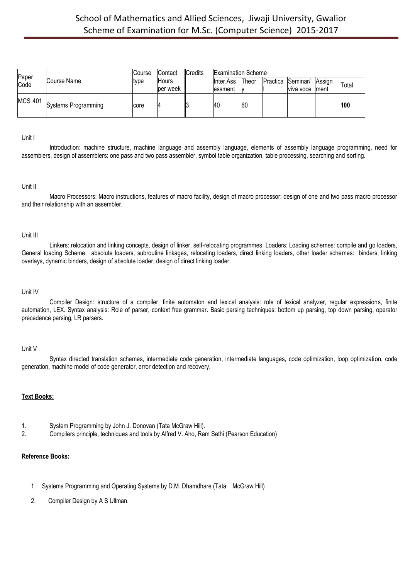| Paper<br>Code  | Course Name                | Course<br>ltype | Contact<br><b>Hours</b><br>per week | Credits | <b>Examination Scheme</b><br><b>II</b> nter.Ass<br>lessment | Theor<br>w | Practica Seminar/ | viva voce | <b>Assign</b><br>Iment | Total |
|----------------|----------------------------|-----------------|-------------------------------------|---------|-------------------------------------------------------------|------------|-------------------|-----------|------------------------|-------|
| <b>MCS 401</b> | <b>Systems Programming</b> | core            | 14                                  |         | I40                                                         | <b>60</b>  |                   |           |                        | 100   |

#### Unit I

Introduction: machine structure, machine language and assembly language, elements of assembly language programming, need for assemblers, design of assemblers: one pass and two pass assembler, symbol table organization, table processing, searching and sorting.

#### Unit II

Macro Processors: Macro instructions, features of macro facility, design of macro processor: design of one and two pass macro processor and their relationship with an assembler.

### Unit III

Linkers: relocation and linking concepts, design of linker, self-relocating programmes. Loaders: Loading schemes: compile and go loaders, General loading Scheme: absolute loaders, subroutine linkages, relocating loaders, direct linking loaders, other loader schemes: binders, linking overlays, dynamic binders, design of absolute loader, design of direct linking loader.

#### Unit IV

Compiler Design: structure of a compiler, finite automaton and lexical analysis: role of lexical analyzer, regular expressions, finite automation, LEX. Syntax analysis: Role of parser, context free grammar. Basic parsing techniques: bottom up parsing, top down parsing, operator precedence parsing, LR parsers.

#### Unit V

Syntax directed translation schemes, intermediate code generation, intermediate languages, code optimization, loop optimization, code generation, machine model of code generator, error detection and recovery.

#### **Text Books:**

- 1. System Programming by John J. Donovan (Tata McGraw Hill).
- 2. Compilers principle, techniques and tools by Alfred V. Aho, Ram Sethi (Pearson Education)

# **Reference Books:**

- 1. Systems Programming and Operating Systems by D.M. Dhamdhare (Tata McGraw Hill)
- 2. Compiler Design by A S Ullman.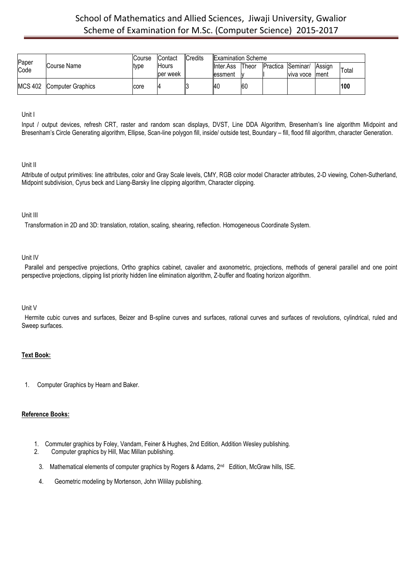| Paper          |                          | Course | <b>Contact</b> | <b>Credits</b> | <b>Examination Scheme</b> |           |                   |           |               |       |
|----------------|--------------------------|--------|----------------|----------------|---------------------------|-----------|-------------------|-----------|---------------|-------|
| Code           | Course Name              | type   | <b>Hours</b>   |                | <b>I</b> Inter.Ass        | Theor     | Practica Seminar/ |           | <b>Assign</b> | Total |
|                |                          |        | per week       |                | lessment                  |           |                   | viva voce | Iment         |       |
| <b>MCS 402</b> | <b>Computer Graphics</b> | core   | 4              |                | I4C                       | <b>60</b> |                   |           |               | 100   |

Unit I

Input / output devices, refresh CRT, raster and random scan displays, DVST, Line DDA Algorithm, Bresenham's line algorithm Midpoint and Bresenham's Circle Generating algorithm, Ellipse, Scan-line polygon fill, inside/ outside test, Boundary – fill, flood fill algorithm, character Generation.

# Unit II

Attribute of output primitives: line attributes, color and Gray Scale levels, CMY, RGB color model Character attributes, 2-D viewing, Cohen-Sutherland, Midpoint subdivision, Cyrus beck and Liang-Barsky line clipping algorithm, Character clipping.

# Unit III

Transformation in 2D and 3D: translation, rotation, scaling, shearing, reflection. Homogeneous Coordinate System.

### Unit IV

Parallel and perspective projections, Ortho graphics cabinet, cavalier and axonometric, projections, methods of general parallel and one point perspective projections, clipping list priority hidden line elimination algorithm, Z-buffer and floating horizon algorithm.

#### Unit V

Hermite cubic curves and surfaces, Beizer and B-spline curves and surfaces, rational curves and surfaces of revolutions, cylindrical, ruled and Sweep surfaces.

# **Text Book:**

1. Computer Graphics by Hearn and Baker.

# **Reference Books:**

- 1. Commuter graphics by Foley, Vandam, Feiner & Hughes, 2nd Edition, Addition Wesley publishing.
- 2. Computer graphics by Hill, Mac Millan publishing.
- 3. Mathematical elements of computer graphics by Rogers & Adams, 2<sup>nd</sup> Edition, McGraw hills, ISE.
	- 4. Geometric modeling by Mortenson, John Wililay publishing.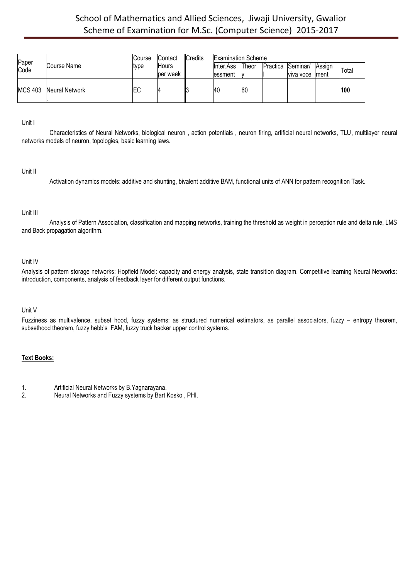| Paper          |                | Course     | <b>Contact</b> | Credits | <b>Examination Scheme</b> |       |                   |           |               |       |
|----------------|----------------|------------|----------------|---------|---------------------------|-------|-------------------|-----------|---------------|-------|
| Code           | Course Name    | ltype      | <b>Hours</b>   |         | <b>I</b> Inter.Ass        | Theor | Practica Seminar/ |           | <b>Assign</b> | Total |
|                |                |            | lper week      |         | lessment                  | W     |                   | viva voce | Iment         |       |
| <b>MCS 403</b> | Neural Network | <b>IEC</b> | 4              |         | <b>40</b>                 | 60    |                   |           |               | 100   |

Unit I

Characteristics of Neural Networks, biological neuron , action potentials , neuron firing, artificial neural networks, TLU, multilayer neural networks models of neuron, topologies, basic learning laws.

#### Unit II

Activation dynamics models: additive and shunting, bivalent additive BAM, functional units of ANN for pattern recognition Task.

### Unit III

Analysis of Pattern Association, classification and mapping networks, training the threshold as weight in perception rule and delta rule, LMS and Back propagation algorithm.

# Unit IV

Analysis of pattern storage networks: Hopfield Model: capacity and energy analysis, state transition diagram. Competitive learning Neural Networks: introduction, components, analysis of feedback layer for different output functions.

# Unit V

Fuzziness as multivalence, subset hood, fuzzy systems: as structured numerical estimators, as parallel associators, fuzzy – entropy theorem, subsethood theorem, fuzzy hebb's FAM, fuzzy truck backer upper control systems.

# **Text Books:**

1. **Artificial Neural Networks by B.Yagnarayana.**<br>2. **Neural Networks and Fuzzy systems by Bart I** 

2. Neural Networks and Fuzzy systems by Bart Kosko , PHI.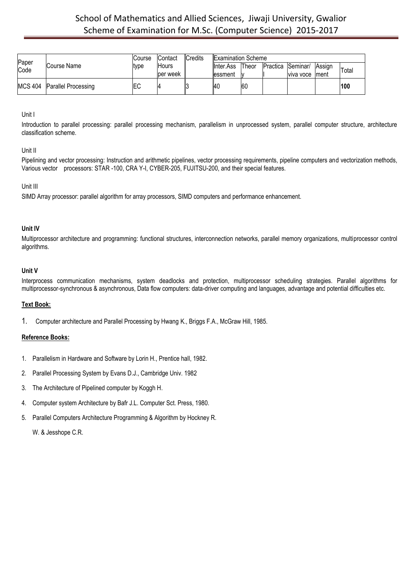| Paper |                             | Course | <b>IContact</b> | Credits | <b>Examination Scheme</b> |              |                   |            |        |       |
|-------|-----------------------------|--------|-----------------|---------|---------------------------|--------------|-------------------|------------|--------|-------|
| Code  | Course Name                 | type   | Hours           |         | <b>I</b> Inter.Ass        | <b>Theor</b> | Practica Seminar/ |            | Assign | Total |
|       |                             |        | per week        |         | lessment                  |              |                   | Iviva voce | lment  |       |
|       | MCS 404 Parallel Processing | ЕC     |                 |         | 140                       | <b>60</b>    |                   |            |        | 100   |

### Unit I

Introduction to parallel processing: parallel processing mechanism, parallelism in unprocessed system, parallel computer structure, architecture classification scheme.

### Unit II

Pipelining and vector processing: Instruction and arithmetic pipelines, vector processing requirements, pipeline computers and vectorization methods, Various vector processors: STAR -100, CRA Y-I, CYBER-205, FUJITSU-200, and their special features.

### Unit III

SIMD Array processor: parallel algorithm for array processors, SIMD computers and performance enhancement.

### **Unit IV**

Multiprocessor architecture and programming: functional structures, interconnection networks, parallel memory organizations, multiprocessor control algorithms.

#### **Unit V**

Interprocess communication mechanisms, system deadlocks and protection, multiprocessor scheduling strategies. Parallel algorithms for multiprocessor-synchronous & asynchronous, Data flow computers: data-driver computing and languages, advantage and potential difficulties etc.

# **Text Book:**

1. Computer architecture and Parallel Processing by Hwang K., Briggs F.A., McGraw Hill, 1985.

# **Reference Books:**

- 1. Parallelism in Hardware and Software by Lorin H., Prentice hall, 1982.
- 2. Parallel Processing System by Evans D.J., Cambridge Univ. 1982
- 3. The Architecture of Pipelined computer by Koggh H.
- 4. Computer system Architecture by Bafr J.L. Computer Sct. Press, 1980.
- 5. Parallel Computers Architecture Programming & Algorithm by Hockney R.

W. & Jesshope C.R.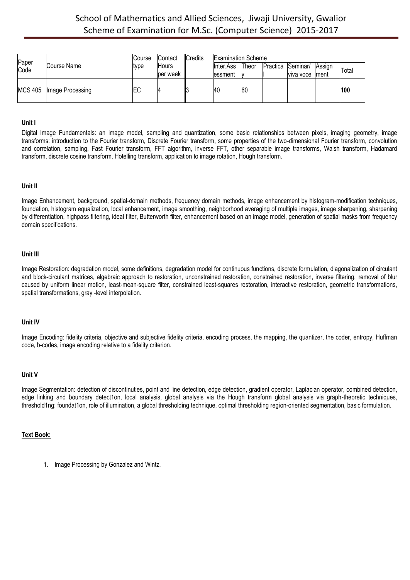| Paper |                            | Course | Contact      | <b>Credits</b> | <b>Examination Scheme</b> |           |                   |        |              |
|-------|----------------------------|--------|--------------|----------------|---------------------------|-----------|-------------------|--------|--------------|
| Code  | Course Name                | tvpe   | <b>Hours</b> |                | <b>I</b> Inter.Ass        | Theor     | Practica Seminar/ | Assign | <b>Total</b> |
|       |                            |        | ber week     |                | essment                   |           | Iviva voce Iment  |        |              |
|       | MCS 405   Image Processing | EС     | 4            |                | -40                       | <b>60</b> |                   |        | 100          |

### **Unit I**

Digital Image Fundamentals: an image model, sampling and quantization, some basic relationships between pixels, imaging geometry, image transforms: introduction to the Fourier transform, Discrete Fourier transform, some properties of the two-dimensional Fourier transform, convolution and correlation, sampling, Fast Fourier transform, FFT algorithm, inverse FFT, other separable image transforms, Walsh transform, Hadamard transform, discrete cosine transform, Hotelling transform, application to image rotation, Hough transform.

#### **Unit II**

Image Enhancement, background, spatial-domain methods, frequency domain methods, image enhancement by histogram-modification techniques, foundation, histogram equalization, local enhancement, image smoothing, neighborhood averaging of multiple images, image sharpening, sharpening by differentiation, highpass filtering, ideal filter, Butterworth filter, enhancement based on an image model, generation of spatial masks from frequency domain specifications.

#### **Unit III**

Image Restoration: degradation model, some definitions, degradation model for continuous functions, discrete formulation, diagonalization of circulant and block-circulant matrices, algebraic approach to restoration, unconstrained restoration, constrained restoration, inverse filtering, removal of blur caused by uniform linear motion, least-mean-square filter, constrained least-squares restoration, interactive restoration, geometric transformations, spatial transformations, gray -level interpolation.

#### **Unit IV**

Image Encoding: fidelity criteria, objective and subjective fidelity criteria, encoding process, the mapping, the quantizer, the coder, entropy, Huffman code, b-codes, image encoding relative to a fidelity criterion.

#### **Unit V**

Image Segmentation: detection of discontinuties, point and line detection, edge detection, gradient operator, Laplacian operator, combined detection, edge linking and boundary detect1on, local analysis, global analysis via the Hough transform global analysis via graph-theoretic techniques, threshold1ng: foundat1on, role of illumination, a global thresholding technique, optimal thresholding region-oriented segmentation, basic formulation.

#### **Text Book:**

1. Image Processing by Gonzalez and Wintz.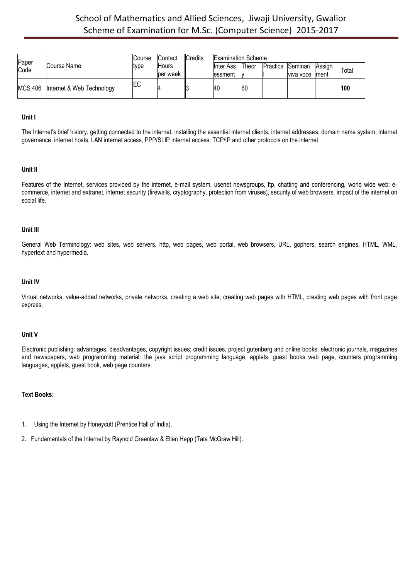| Paper |                                     | Course | <b>Contact</b> | Credits | <b>Examination Scheme</b> |       |                   |        |       |
|-------|-------------------------------------|--------|----------------|---------|---------------------------|-------|-------------------|--------|-------|
| Code  | Course Name                         | type   | <b>Hours</b>   |         | <b>I</b> Inter.Ass        | Theor | Practica Seminar/ | Assian | Total |
|       |                                     |        | ber week       |         | lessment                  |       | viva voce Iment   |        |       |
|       | MCS 406   Internet & Web Technology | ΙEС    |                |         | <b>140</b>                | 160   |                   |        | 100   |

#### **Unit I**

The Internet's brief history, getting connected to the internet, installing the essential internet clients, internet addresses, domain name system, internet governance, internet hosts, LAN internet access, PPP/SLIP internet access, TCP/IP and other protocols on the internet.

#### **Unit II**

Features of the Internet, services provided by the internet, e-mail system, usenet newsgroups, ftp, chatting and conferencing, world wide web: ecommerce, internet and extranet, internet security (firewalls, cryptography, protection from viruses), security of web browsers, impact of the internet on social life.

#### **Unit III**

General Web Terminology: web sites, web servers, http, web pages, web portal, web browsers, URL, gophers, search engines, HTML, WML, hypertext and hypermedia.

#### **Unit IV**

Virtual networks, value-added networks, private networks, creating a web site, creating web pages with HTML, creating web pages with front page express.

#### **Unit V**

Electronic publishing: advantages, disadvantages, copyright issues; credit issues, project gutenberg and online books, electronic journals, magazines and newspapers, web programming material: the java script programming language, applets, guest books web page, counters programming languages, applets, guest book, web page counters.

- 1. Using the Internet by Honeycutt (Prentice Hall of India).
- 2. Fundamentals of the Internet by Raynold Greenlaw & Ellen Hepp (Tata McGraw Hill).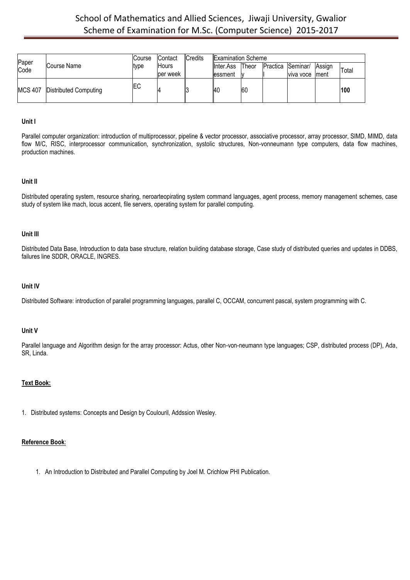|               | Course Name                   | Course | <b>Contact</b><br><b>Hours</b><br>ber week | Credits | <b>Examination Scheme</b> |           |                   |                  |        |       |
|---------------|-------------------------------|--------|--------------------------------------------|---------|---------------------------|-----------|-------------------|------------------|--------|-------|
| Paper<br>Code |                               | tvpe   |                                            |         | <b>I</b> Inter.Ass        | Theor     | Practica Seminar/ |                  | Assign | Total |
|               |                               |        |                                            |         | lessment                  |           |                   | Iviva voce Iment |        |       |
|               | MCS 407 Distributed Computing | IЕC    |                                            |         | - 140                     | <b>60</b> |                   |                  |        | 100   |

### **Unit I**

Parallel computer organization: introduction of multiprocessor, pipeline & vector processor, associative processor, array processor, SIMD, MIMD, data flow M/C, RISC, interprocessor communication, synchronization, systolic structures, Non-vonneumann type computers, data flow machines, production machines.

#### **Unit II**

Distributed operating system, resource sharing, neroarteopirating system command languages, agent process, memory management schemes, case study of system like mach, locus accent, file servers, operating system for parallel computing.

#### **Unit III**

Distributed Data Base, Introduction to data base structure, relation building database storage, Case study of distributed queries and updates in DDBS, failures line SDDR, ORACLE, INGRES.

#### **Unit IV**

Distributed Software: introduction of parallel programming languages, parallel C, OCCAM, concurrent pascal, system programming with C.

#### **Unit V**

Parallel language and Algorithm design for the array processor: Actus, other Non-von-neumann type languages; CSP, distributed process (DP), Ada, SR, Linda.

# **Text Book:**

1. Distributed systems: Concepts and Design by Coulouril, Addssion Wesley.

# **Reference Book**:

1. An Introduction to Distributed and Parallel Computing by Joel M. Crichlow PHI Publication.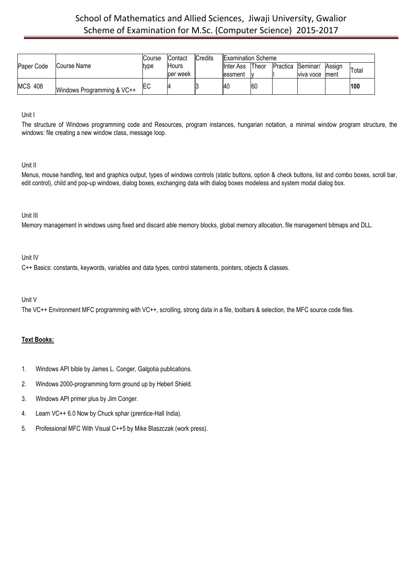|                |                            | Course | <b>Examination Scheme</b><br>Credits<br>Contact |  |            |       |  |                   |        |       |
|----------------|----------------------------|--------|-------------------------------------------------|--|------------|-------|--|-------------------|--------|-------|
| Paper Code     | Course Name                | type   | Hours                                           |  | llnter.Ass | Theor |  | Practica Seminar/ | Assian | Total |
|                |                            |        | per week                                        |  | essment    |       |  | Iviva voce        | lment  |       |
| <b>MCS 408</b> | Windows Programming & VC++ | ΙEC    |                                                 |  | <b>40</b>  | 60    |  |                   |        | 100   |

Unit I

The structure of Windows programming code and Resources, program instances, hungarian notation, a minimal window program structure, the windows: file creating a new window class, message loop.

# Unit II

Menus, mouse handling, text and graphics output, types of windows controls (static buttons, option & check buttons, list and combo boxes, scroll bar, edit control), child and pop-up windows, dialog boxes, exchanging data with dialog boxes modeless and system modal dialog box.

# Unit III

Memory management in windows using fixed and discard able memory blocks, global memory allocation, file management bitmaps and DLL.

### Unit IV

C++ Basics: constants, keywords, variables and data types, control statements, pointers, objects & classes.

# Unit V

The VC++ Environment MFC programming with VC++, scrolling, strong data in a file, toolbars & selection, the MFC source code files.

- 1. Windows API bible by James L. Conger, Galgotia publications.
- 2. Windows 2000-programming form ground up by Heberl Shield.
- 3. Windows API primer plus by Jim Conger.
- 4. Learn VC++ 6.0 Now by Chuck sphar (prentice-Hall India).
- 5. Professional MFC With Visual C++5 by Mike Blaszczak (work press).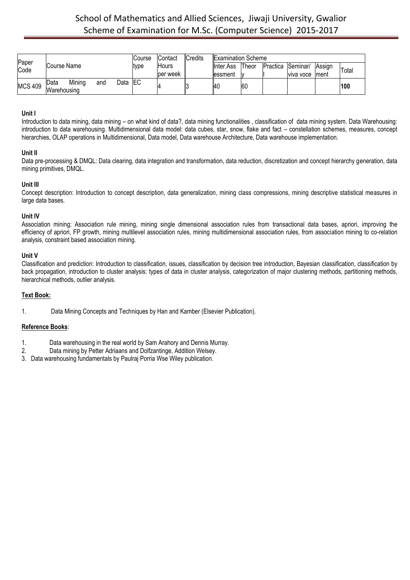| Paper<br>Code  |                                              | lCourse    | <b>IContact</b>          | Credits | <b>Examination Scheme</b>   |           |          |           |       |     |
|----------------|----------------------------------------------|------------|--------------------------|---------|-----------------------------|-----------|----------|-----------|-------|-----|
|                | Course Name                                  | type       | <b>Hours</b><br>per week |         | Theor<br><b>I</b> Inter.Ass | Practica  | Seminar/ | Assign    | Total |     |
|                |                                              |            |                          |         | lessment                    |           |          | viva voce | Iment |     |
| <b>MCS 409</b> | Mining<br>Data<br>Data<br>and<br>Warehousing | <b>IEC</b> |                          |         | I4C                         | <b>60</b> |          |           |       | 100 |

# **Unit I**

Introduction to data mining, data mining – on what kind of data?, data mining functionalities , classification of data mining system. Data Warehousing: introduction to data warehousing. Multidimensional data model: data cubes, star, snow, flake and fact – constellation schemes, measures, concept hierarchies, OLAP operations in Multidimensional, Data model, Data warehouse Architecture, Data warehouse implementation.

# **Unit II**

Data pre-processing & DMQL: Data clearing, data integration and transformation, data reduction, discretization and concept hierarchy generation, data mining primitives, DMQL.

# **Unit III**

Concept description: Introduction to concept description, data generalization, mining class compressions, mining descriptive statistical measures in large data bases.

### **Unit IV**

Association mining: Association rule mining, mining single dimensional association rules from transactional data bases, apriori, improving the efficiency of apriori, FP growth, mining multilevel association rules, mining multidimensional association rules, from association mining to co-relation analysis, constraint based association mining.

### **Unit V**

Classification and prediction: Introduction to classification, issues, classification by decision tree introduction, Bayesian classification, classification by back propagation, introduction to cluster analysis: types of data in cluster analysis, categorization of major clustering methods, partitioning methods, hierarchical methods, outlier analysis.

# **Text Book:**

1. Data Mining Concepts and Techniques by Han and Kamber (Elsevier Publication).

### **Reference Books**:

- 1. Data warehousing in the real world by Sam Arahory and Dennis Murray.
- 2. Data mining by Petter Adriaans and Dolfzantinge, Addition Welsey.
- 3. Data warehousing fundamentals by Paulraj Porria Wse Wiley publication.